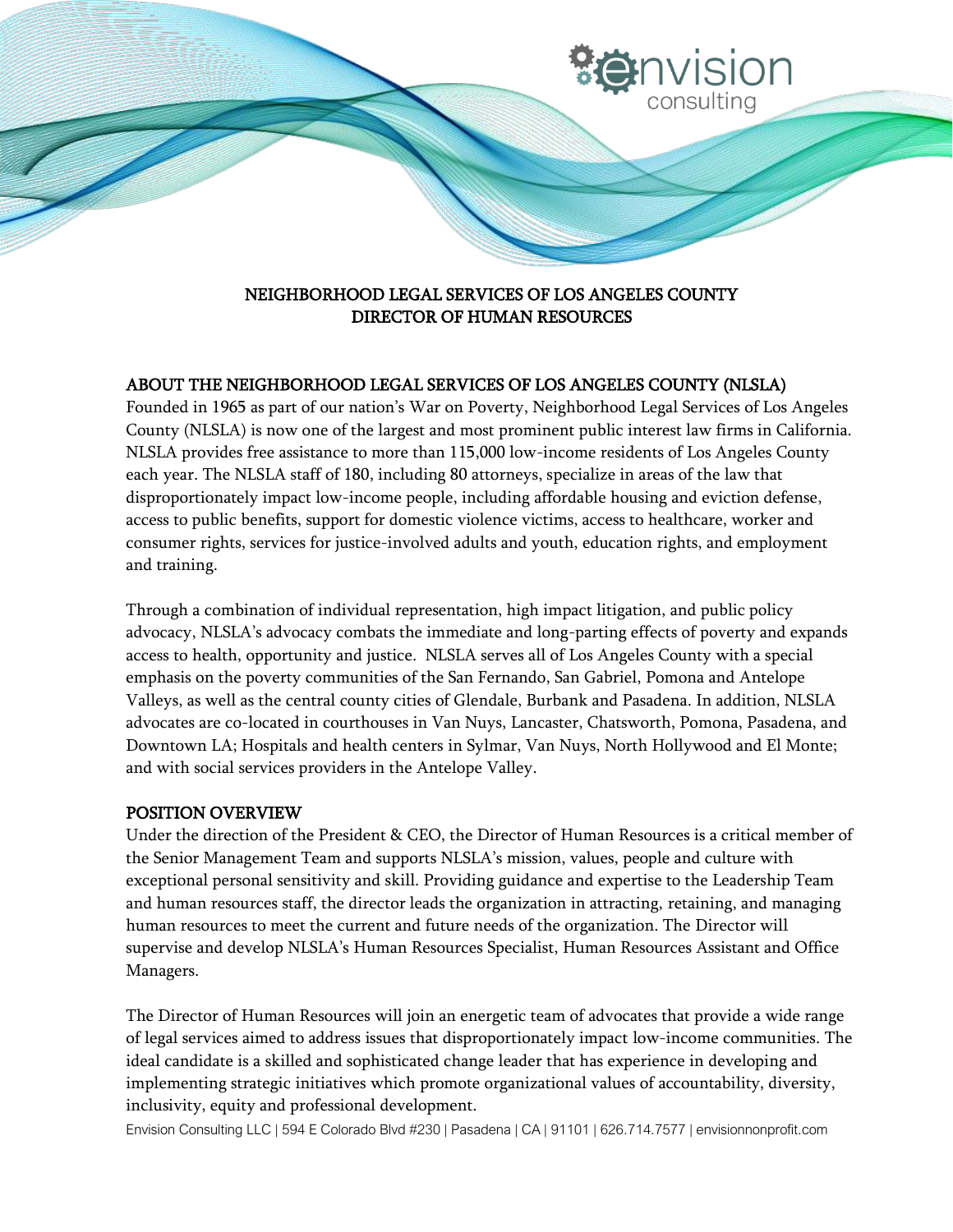# NEIGHBORHOOD LEGAL SERVICES OF LOS ANGELES COUNTY DIRECTOR OF HUMAN RESOURCES

**IVISION** 

consulting

# ABOUT THE NEIGHBORHOOD LEGAL SERVICES OF LOS ANGELES COUNTY (NLSLA)

Founded in 1965 as part of our nation's War on Poverty, Neighborhood Legal Services of Los Angeles County (NLSLA) is now one of the largest and most prominent public interest law firms in California. NLSLA provides free assistance to more than 115,000 low-income residents of Los Angeles County each year. The NLSLA staff of 180, including 80 attorneys, specialize in areas of the law that disproportionately impact low-income people, including affordable housing and eviction defense, access to public benefits, support for domestic violence victims, access to healthcare, worker and consumer rights, services for justice-involved adults and youth, education rights, and employment and training.

Through a combination of individual representation, high impact litigation, and public policy advocacy, NLSLA's advocacy combats the immediate and long-parting effects of poverty and expands access to health, opportunity and justice. NLSLA serves all of Los Angeles County with a special emphasis on the poverty communities of the San Fernando, San Gabriel, Pomona and Antelope Valleys, as well as the central county cities of Glendale, Burbank and Pasadena. In addition, NLSLA advocates are co-located in courthouses in Van Nuys, Lancaster, Chatsworth, Pomona, Pasadena, and Downtown LA; Hospitals and health centers in Sylmar, Van Nuys, North Hollywood and El Monte; and with social services providers in the Antelope Valley.

### POSITION OVERVIEW

Under the direction of the President & CEO, the Director of Human Resources is a critical member of the Senior Management Team and supports NLSLA's mission, values, people and culture with exceptional personal sensitivity and skill. Providing guidance and expertise to the Leadership Team and human resources staff, the director leads the organization in attracting, retaining, and managing human resources to meet the current and future needs of the organization. The Director will supervise and develop NLSLA's Human Resources Specialist, Human Resources Assistant and Office Managers.

The Director of Human Resources will join an energetic team of advocates that provide a wide range of legal services aimed to address issues that disproportionately impact low-income communities. The ideal candidate is a skilled and sophisticated change leader that has experience in developing and implementing strategic initiatives which promote organizational values of accountability, diversity, inclusivity, equity and professional development.

Envision Consulting LLC | 594 E Colorado Blvd #230 | Pasadena | CA | 91101 | 626.714.7577 | envisionnonprofit.com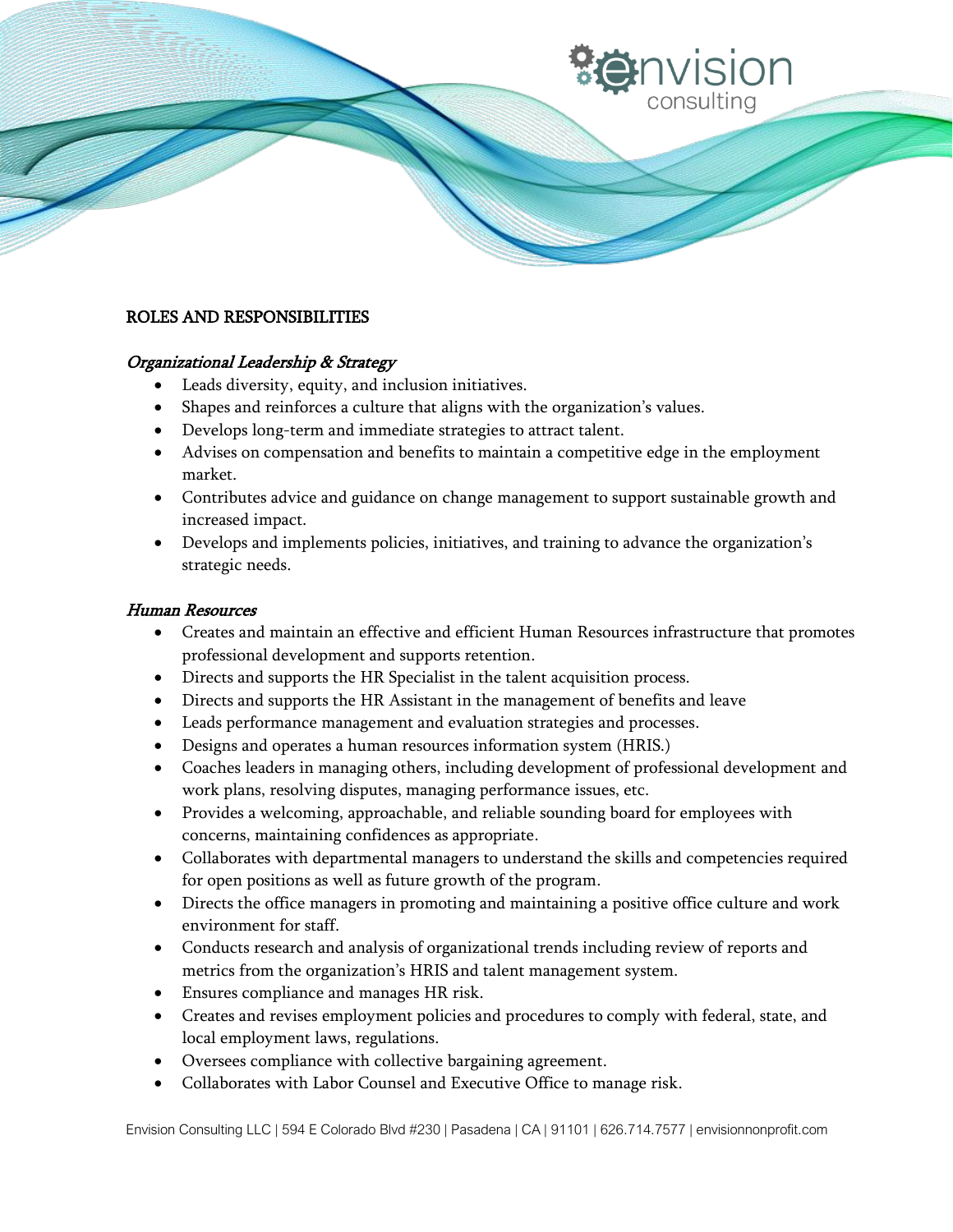# ROLES AND RESPONSIBILITIES

## Organizational Leadership & Strategy

- Leads diversity, equity, and inclusion initiatives.
- Shapes and reinforces a culture that aligns with the organization's values.
- Develops long-term and immediate strategies to attract talent.
- Advises on compensation and benefits to maintain a competitive edge in the employment market.
- Contributes advice and guidance on change management to support sustainable growth and increased impact.
- Develops and implements policies, initiatives, and training to advance the organization's strategic needs.

## Human Resources

- Creates and maintain an effective and efficient Human Resources infrastructure that promotes professional development and supports retention.
- Directs and supports the HR Specialist in the talent acquisition process.
- Directs and supports the HR Assistant in the management of benefits and leave
- Leads performance management and evaluation strategies and processes.
- Designs and operates a human resources information system (HRIS.)
- Coaches leaders in managing others, including development of professional development and work plans, resolving disputes, managing performance issues, etc.
- Provides a welcoming, approachable, and reliable sounding board for employees with concerns, maintaining confidences as appropriate.
- Collaborates with departmental managers to understand the skills and competencies required for open positions as well as future growth of the program.
- Directs the office managers in promoting and maintaining a positive office culture and work environment for staff.
- Conducts research and analysis of organizational trends including review of reports and metrics from the organization's HRIS and talent management system.
- Ensures compliance and manages HR risk.
- Creates and revises employment policies and procedures to comply with federal, state, and local employment laws, regulations.
- Oversees compliance with collective bargaining agreement.
- Collaborates with Labor Counsel and Executive Office to manage risk.